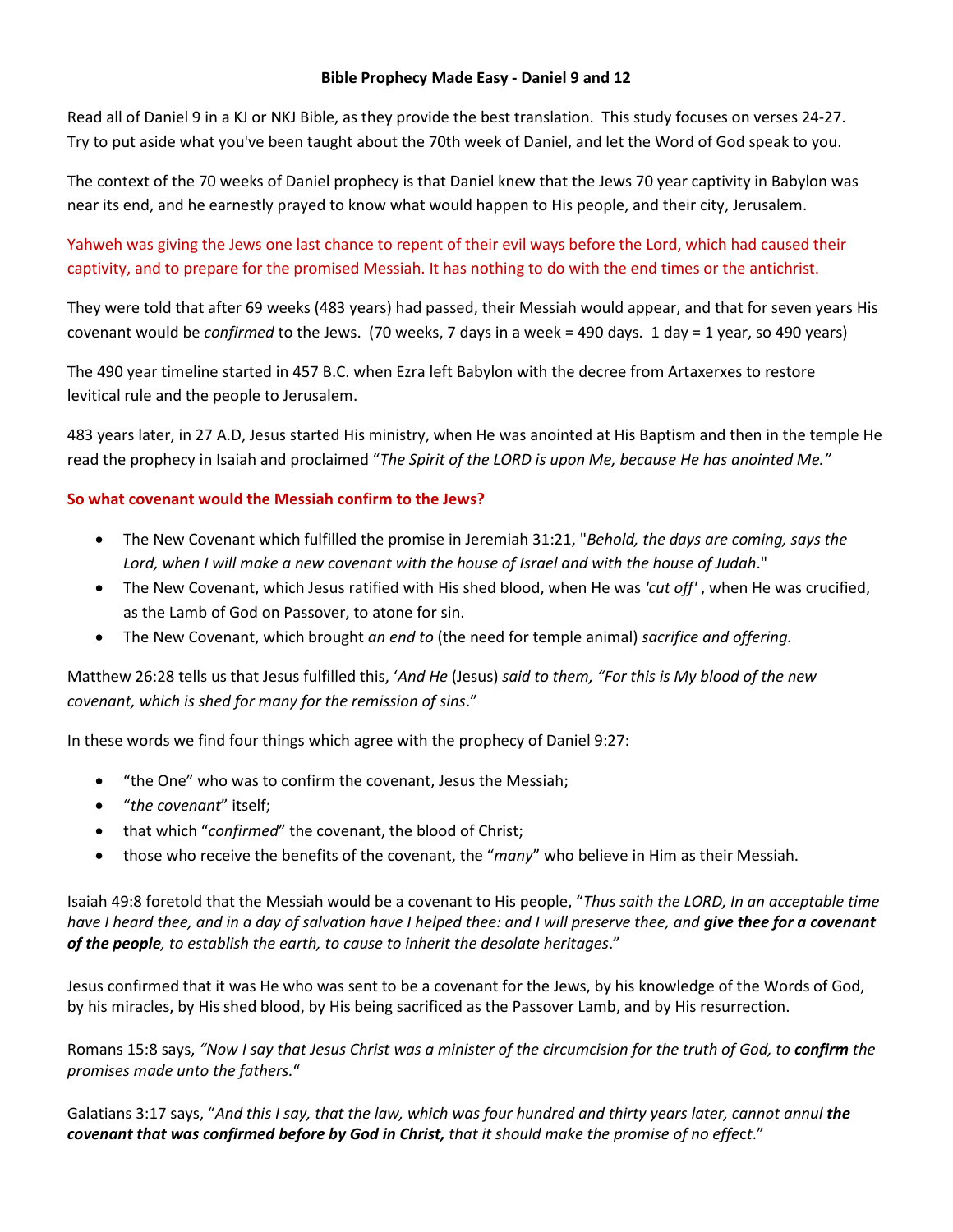### **Bible Prophecy Made Easy - Daniel 9 and 12**

Read all of Daniel 9 in a KJ or NKJ Bible, as they provide the best translation. This study focuses on verses 24-27. Try to put aside what you've been taught about the 70th week of Daniel, and let the Word of God speak to you.

The context of the 70 weeks of Daniel prophecy is that Daniel knew that the Jews 70 year captivity in Babylon was near its end, and he earnestly prayed to know what would happen to His people, and their city, Jerusalem.

# Yahweh was giving the Jews one last chance to repent of their evil ways before the Lord, which had caused their captivity, and to prepare for the promised Messiah. It has nothing to do with the end times or the antichrist.

They were told that after 69 weeks (483 years) had passed, their Messiah would appear, and that for seven years His covenant would be *confirmed* to the Jews. (70 weeks, 7 days in a week = 490 days. 1 day = 1 year, so 490 years)

The 490 year timeline started in 457 B.C. when Ezra left Babylon with the decree from Artaxerxes to restore levitical rule and the people to Jerusalem.

483 years later, in 27 A.D, Jesus started His ministry, when He was anointed at His Baptism and then in the temple He read the prophecy in Isaiah and proclaimed "*The Spirit of the LORD is upon Me, because He has anointed Me."*

# **So what covenant would the Messiah confirm to the Jews?**

- The New Covenant which fulfilled the promise in Jeremiah 31:21, "*Behold, the days are coming, says the Lord, when I will make a new covenant with the house of Israel and with the house of Judah*."
- The New Covenant, which Jesus ratified with His shed blood, when He was *'cut off'* , when He was crucified, as the Lamb of God on Passover, to atone for sin.
- The New Covenant, which brought *an end to* (the need for temple animal) *sacrifice and offering.*

Matthew 26:28 tells us that Jesus fulfilled this, '*And He* (Jesus) *said to them, "For this is My blood of the new covenant, which is shed for many for the remission of sins*."

In these words we find four things which agree with the prophecy of Daniel 9:27:

- "the One" who was to confirm the covenant, Jesus the Messiah;
- "*the covenant*" itself;
- that which "*confirmed*" the covenant, the blood of Christ;
- those who receive the benefits of the covenant, the "*many*" who believe in Him as their Messiah.

Isaiah 49:8 foretold that the Messiah would be a covenant to His people, "*Thus saith the LORD, In an acceptable time*  have I heard thee, and in a day of salvation have I helped thee: and I will preserve thee, and **give thee for a covenant** *of the people, to establish the earth, to cause to inherit the desolate heritages*."

Jesus confirmed that it was He who was sent to be a covenant for the Jews, by his knowledge of the Words of God, by his miracles, by His shed blood, by His being sacrificed as the Passover Lamb, and by His resurrection.

Romans 15:8 says, *"Now I say that Jesus Christ was a minister of the circumcision for the truth of God, to confirm the promises made unto the fathers.*"

Galatians 3:17 says, "And this I say, that the law, which was four hundred and thirty years later, cannot annul the *covenant that was confirmed before by God in Christ, that it should make the promise of no effe*c*t*."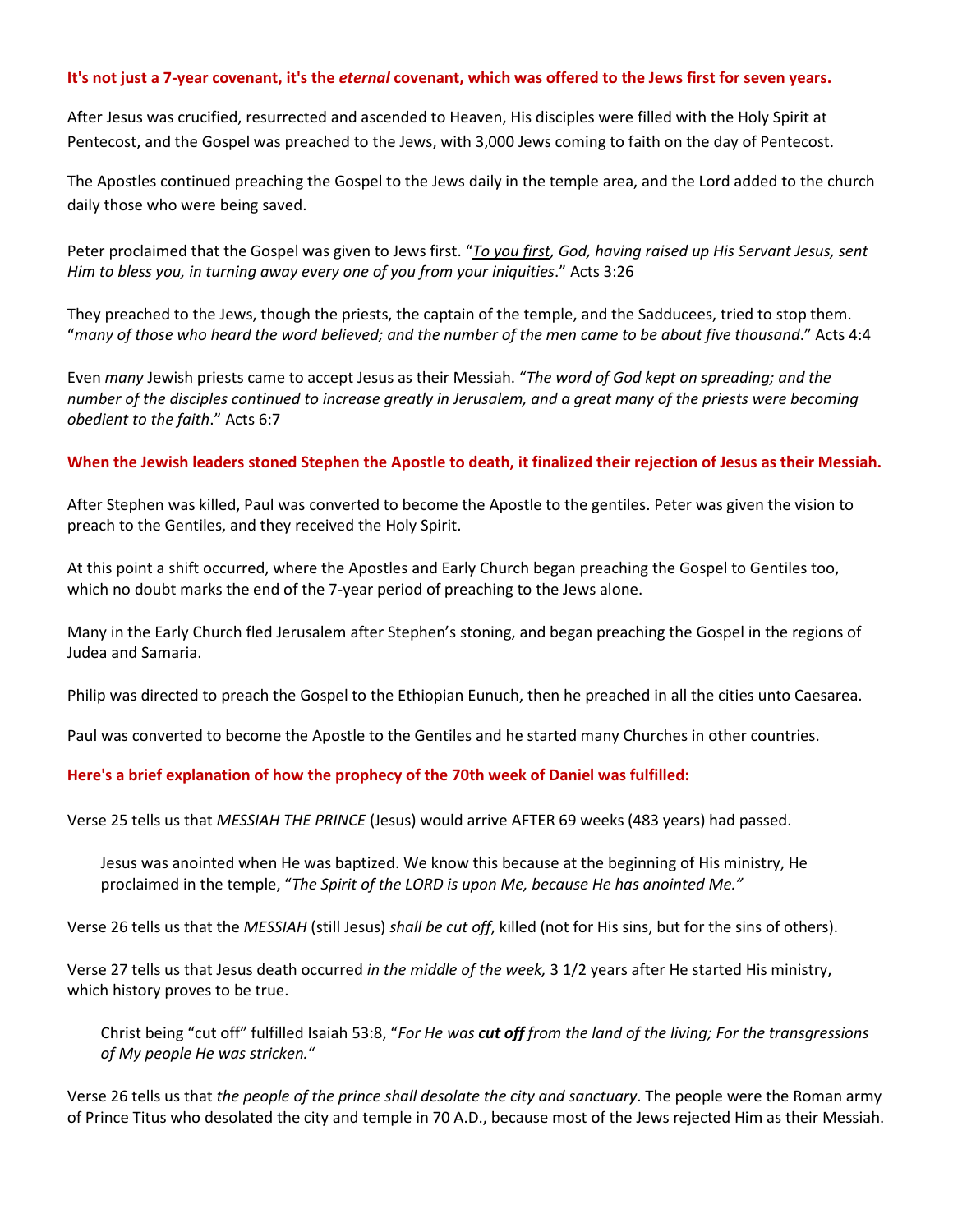#### **It's not just a 7-year covenant, it's the** *eternal* **covenant, which was offered to the Jews first for seven years.**

After Jesus was crucified, resurrected and ascended to Heaven, His disciples were filled with the Holy Spirit at Pentecost, and the Gospel was preached to the Jews, with 3,000 Jews coming to faith on the day of Pentecost.

The Apostles continued preaching the Gospel to the Jews daily in the temple area, and the Lord added to the church daily those who were being saved.

Peter proclaimed that the Gospel was given to Jews first. "*To you first, God, having raised up His Servant Jesus, sent Him to bless you, in turning away every one of you from your iniquities*." Acts 3:26

They preached to the Jews, though the priests, the captain of the temple, and the Sadducees, tried to stop them. "*many of those who heard the word believed; and the number of the men came to be about five thousand*." Acts 4:4

Even *many* Jewish priests came to accept Jesus as their Messiah. "*The word of God kept on spreading; and the number of the disciples continued to increase greatly in Jerusalem, and a great many of the priests were becoming obedient to the faith*." Acts 6:7

#### **When the Jewish leaders stoned Stephen the Apostle to death, it finalized their rejection of Jesus as their Messiah.**

After Stephen was killed, Paul was converted to become the Apostle to the gentiles. Peter was given the vision to preach to the Gentiles, and they received the Holy Spirit.

At this point a shift occurred, where the Apostles and Early Church began preaching the Gospel to Gentiles too, which no doubt marks the end of the 7-year period of preaching to the Jews alone.

Many in the Early Church fled Jerusalem after Stephen's stoning, and began preaching the Gospel in the regions of Judea and Samaria.

Philip was directed to preach the Gospel to the Ethiopian Eunuch, then he preached in all the cities unto Caesarea.

Paul was converted to become the Apostle to the Gentiles and he started many Churches in other countries.

#### **Here's a brief explanation of how the prophecy of the 70th week of Daniel was fulfilled:**

Verse 25 tells us that *MESSIAH THE PRINCE* (Jesus) would arrive AFTER 69 weeks (483 years) had passed.

Jesus was anointed when He was baptized. We know this because at the beginning of His ministry, He proclaimed in the temple, "*The Spirit of the LORD is upon Me, because He has anointed Me."*

Verse 26 tells us that the *MESSIAH* (still Jesus) *shall be cut off*, killed (not for His sins, but for the sins of others).

Verse 27 tells us that Jesus death occurred *in the middle of the week,* 3 1/2 years after He started His ministry, which history proves to be true.

Christ being "cut off" fulfilled Isaiah 53:8, "*For He was cut off from the land of the living; For the transgressions of My people He was stricken.*"

Verse 26 tells us that *the people of the prince shall desolate the city and sanctuary*. The people were the Roman army of Prince Titus who desolated the city and temple in 70 A.D., because most of the Jews rejected Him as their Messiah.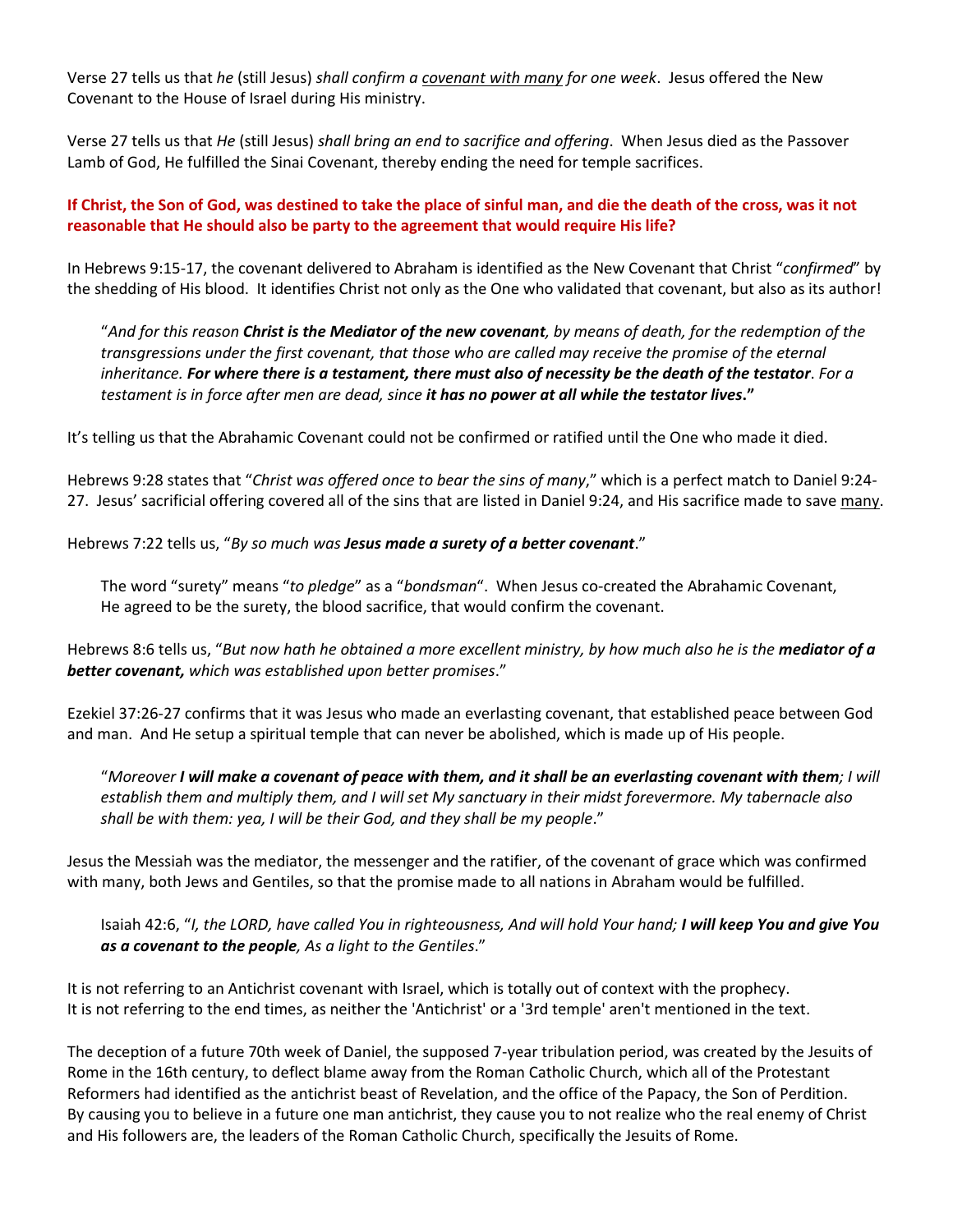Verse 27 tells us that *he* (still Jesus) *shall confirm a covenant with many for one week*. Jesus offered the New Covenant to the House of Israel during His ministry.

Verse 27 tells us that *He* (still Jesus) *shall bring an end to sacrifice and offering*. When Jesus died as the Passover Lamb of God, He fulfilled the Sinai Covenant, thereby ending the need for temple sacrifices.

## **If Christ, the Son of God, was destined to take the place of sinful man, and die the death of the cross, was it not reasonable that He should also be party to the agreement that would require His life?**

In Hebrews 9:15-17, the covenant delivered to Abraham is identified as the New Covenant that Christ "*confirmed*" by the shedding of His blood. It identifies Christ not only as the One who validated that covenant, but also as its author!

"*And for this reason Christ is the Mediator of the new covenant, by means of death, for the redemption of the transgressions under the first covenant, that those who are called may receive the promise of the eternal inheritance. For where there is a testament, there must also of necessity be the death of the testator*. *For a testament is in force after men are dead, since it has no power at all while the testator lives***."**

It's telling us that the Abrahamic Covenant could not be confirmed or ratified until the One who made it died.

Hebrews 9:28 states that "*Christ was offered once to bear the sins of many*," which is a perfect match to Daniel 9:24- 27. Jesus' sacrificial offering covered all of the sins that are listed in Daniel 9:24, and His sacrifice made to save many.

Hebrews 7:22 tells us, "*By so much was Jesus made a surety of a better covenant*."

The word "surety" means "*to pledge*" as a "*bondsman*". When Jesus co-created the Abrahamic Covenant, He agreed to be the surety, the blood sacrifice, that would confirm the covenant.

Hebrews 8:6 tells us, "But now hath he obtained a more excellent ministry, by how much also he is the *mediator of a better covenant, which was established upon better promises*."

Ezekiel 37:26-27 confirms that it was Jesus who made an everlasting covenant, that established peace between God and man. And He setup a spiritual temple that can never be abolished, which is made up of His people.

"*Moreover I will make a covenant of peace with them, and it shall be an everlasting covenant with them; I will establish them and multiply them, and I will set My sanctuary in their midst forevermore. My tabernacle also shall be with them: yea, I will be their God, and they shall be my people*."

Jesus the Messiah was the mediator, the messenger and the ratifier, of the covenant of grace which was confirmed with many, both Jews and Gentiles, so that the promise made to all nations in Abraham would be fulfilled.

Isaiah 42:6, "*I, the LORD, have called You in righteousness, And will hold Your hand; I will keep You and give You as a covenant to the people, As a light to the Gentiles*."

It is not referring to an Antichrist covenant with Israel, which is totally out of context with the prophecy. It is not referring to the end times, as neither the 'Antichrist' or a '3rd temple' aren't mentioned in the text.

The deception of a future 70th week of Daniel, the supposed 7-year tribulation period, was created by the Jesuits of Rome in the 16th century, to deflect blame away from the Roman Catholic Church, which all of the Protestant Reformers had identified as the antichrist beast of Revelation, and the office of the Papacy, the Son of Perdition. By causing you to believe in a future one man antichrist, they cause you to not realize who the real enemy of Christ and His followers are, the leaders of the Roman Catholic Church, specifically the Jesuits of Rome.